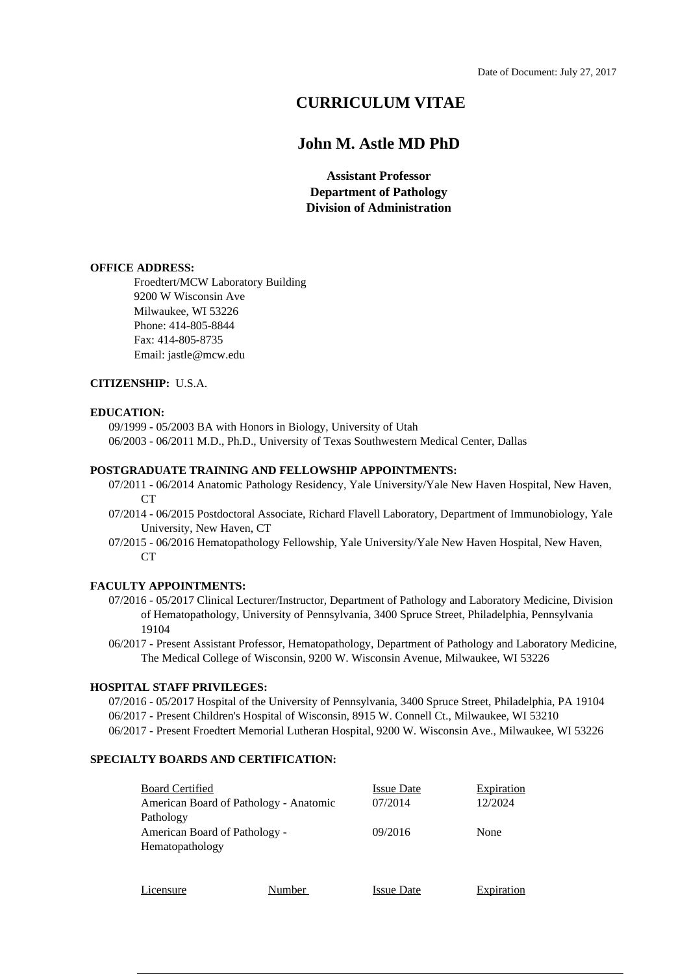# **CURRICULUM VITAE**

## **John M. Astle MD PhD**

**Assistant Professor Department of Pathology Division of Administration**

#### **OFFICE ADDRESS:**

Froedtert/MCW Laboratory Building 9200 W Wisconsin Ave Milwaukee, WI 53226 Phone: 414-805-8844 Fax: 414-805-8735 Email: jastle@mcw.edu

## **CITIZENSHIP:** U.S.A.

#### **EDUCATION:**

09/1999 - 05/2003 BA with Honors in Biology, University of Utah 06/2003 - 06/2011 M.D., Ph.D., University of Texas Southwestern Medical Center, Dallas

#### **POSTGRADUATE TRAINING AND FELLOWSHIP APPOINTMENTS:**

- 07/2011 06/2014 Anatomic Pathology Residency, Yale University/Yale New Haven Hospital, New Haven, CT
- 07/2014 06/2015 Postdoctoral Associate, Richard Flavell Laboratory, Department of Immunobiology, Yale University, New Haven, CT
- 07/2015 06/2016 Hematopathology Fellowship, Yale University/Yale New Haven Hospital, New Haven,  $CT$

#### **FACULTY APPOINTMENTS:**

- 07/2016 05/2017 Clinical Lecturer/Instructor, Department of Pathology and Laboratory Medicine, Division of Hematopathology, University of Pennsylvania, 3400 Spruce Street, Philadelphia, Pennsylvania 19104
- 06/2017 Present Assistant Professor, Hematopathology, Department of Pathology and Laboratory Medicine, The Medical College of Wisconsin, 9200 W. Wisconsin Avenue, Milwaukee, WI 53226

#### **HOSPITAL STAFF PRIVILEGES:**

07/2016 - 05/2017 Hospital of the University of Pennsylvania, 3400 Spruce Street, Philadelphia, PA 19104 06/2017 - Present Children's Hospital of Wisconsin, 8915 W. Connell Ct., Milwaukee, WI 53210 06/2017 - Present Froedtert Memorial Lutheran Hospital, 9200 W. Wisconsin Ave., Milwaukee, WI 53226

### **SPECIALTY BOARDS AND CERTIFICATION:**

| <b>Board Certified</b>                 |        | <b>Issue Date</b> | <b>Expiration</b> |
|----------------------------------------|--------|-------------------|-------------------|
| American Board of Pathology - Anatomic |        | 07/2014           | 12/2024           |
| Pathology                              |        |                   |                   |
| American Board of Pathology -          |        | 09/2016           | None              |
| Hematopathology                        |        |                   |                   |
|                                        |        |                   |                   |
|                                        |        |                   |                   |
| Licensure                              | Number | <b>Issue Date</b> | Expiration        |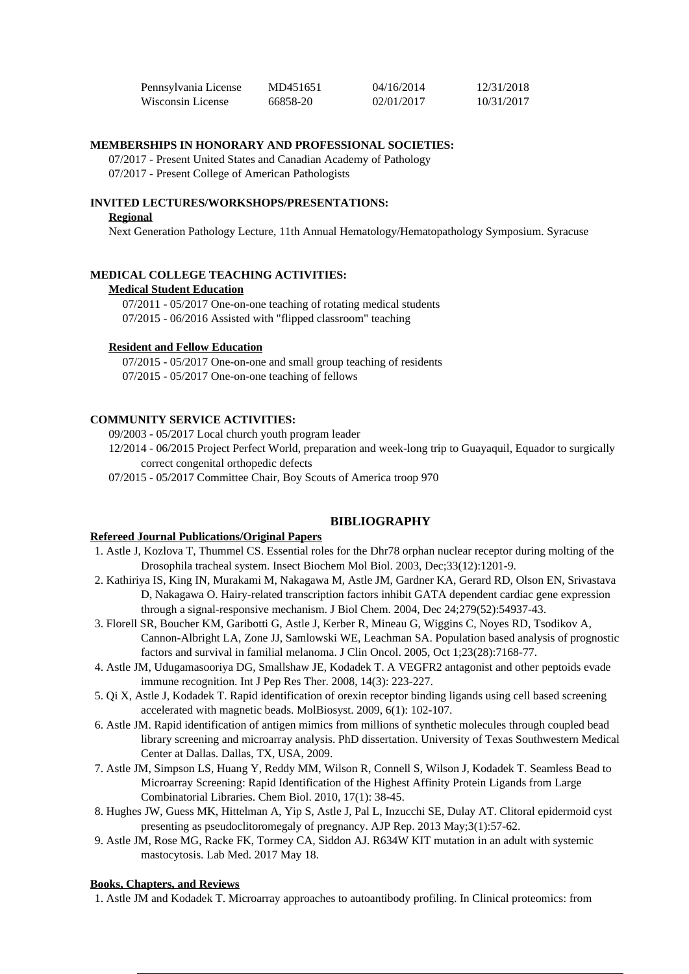| Pennsylvania License | MD451651 | 04/16/2014 | 12/31/2018 |
|----------------------|----------|------------|------------|
| Wisconsin License    | 66858-20 | 02/01/2017 | 10/31/2017 |

## **MEMBERSHIPS IN HONORARY AND PROFESSIONAL SOCIETIES:**

07/2017 - Present United States and Canadian Academy of Pathology 07/2017 - Present College of American Pathologists

#### **INVITED LECTURES/WORKSHOPS/PRESENTATIONS:**

#### **Regional**

Next Generation Pathology Lecture, 11th Annual Hematology/Hematopathology Symposium. Syracuse

#### **MEDICAL COLLEGE TEACHING ACTIVITIES:**

#### **Medical Student Education**

07/2011 - 05/2017 One-on-one teaching of rotating medical students 07/2015 - 06/2016 Assisted with "flipped classroom" teaching

### **Resident and Fellow Education**

07/2015 - 05/2017 One-on-one and small group teaching of residents 07/2015 - 05/2017 One-on-one teaching of fellows

#### **COMMUNITY SERVICE ACTIVITIES:**

09/2003 - 05/2017 Local church youth program leader

12/2014 - 06/2015 Project Perfect World, preparation and week-long trip to Guayaquil, Equador to surgically correct congenital orthopedic defects

07/2015 - 05/2017 Committee Chair, Boy Scouts of America troop 970

#### **BIBLIOGRAPHY**

## **Refereed Journal Publications/Original Papers**

- 1. Astle J, Kozlova T, Thummel CS. Essential roles for the Dhr78 orphan nuclear receptor during molting of the Drosophila tracheal system. Insect Biochem Mol Biol. 2003, Dec;33(12):1201-9.
- 2. Kathiriya IS, King IN, Murakami M, Nakagawa M, Astle JM, Gardner KA, Gerard RD, Olson EN, Srivastava D, Nakagawa O. Hairy-related transcription factors inhibit GATA dependent cardiac gene expression through a signal-responsive mechanism. J Biol Chem. 2004, Dec 24;279(52):54937-43.
- 3. Florell SR, Boucher KM, Garibotti G, Astle J, Kerber R, Mineau G, Wiggins C, Noyes RD, Tsodikov A, Cannon-Albright LA, Zone JJ, Samlowski WE, Leachman SA. Population based analysis of prognostic factors and survival in familial melanoma. J Clin Oncol. 2005, Oct 1;23(28):7168-77.
- 4. Astle JM, Udugamasooriya DG, Smallshaw JE, Kodadek T. A VEGFR2 antagonist and other peptoids evade immune recognition. Int J Pep Res Ther. 2008, 14(3): 223-227.
- 5. Qi X, Astle J, Kodadek T. Rapid identification of orexin receptor binding ligands using cell based screening accelerated with magnetic beads. MolBiosyst. 2009, 6(1): 102-107.
- 6. Astle JM. Rapid identification of antigen mimics from millions of synthetic molecules through coupled bead library screening and microarray analysis. PhD dissertation. University of Texas Southwestern Medical Center at Dallas. Dallas, TX, USA, 2009.
- 7. Astle JM, Simpson LS, Huang Y, Reddy MM, Wilson R, Connell S, Wilson J, Kodadek T. Seamless Bead to Microarray Screening: Rapid Identification of the Highest Affinity Protein Ligands from Large Combinatorial Libraries. Chem Biol. 2010, 17(1): 38-45.
- 8. Hughes JW, Guess MK, Hittelman A, Yip S, Astle J, Pal L, Inzucchi SE, Dulay AT. Clitoral epidermoid cyst presenting as pseudoclitoromegaly of pregnancy. AJP Rep. 2013 May;3(1):57-62.
- 9. Astle JM, Rose MG, Racke FK, Tormey CA, Siddon AJ. R634W KIT mutation in an adult with systemic mastocytosis. Lab Med. 2017 May 18.

#### **Books, Chapters, and Reviews**

1. Astle JM and Kodadek T. Microarray approaches to autoantibody profiling. In Clinical proteomics: from